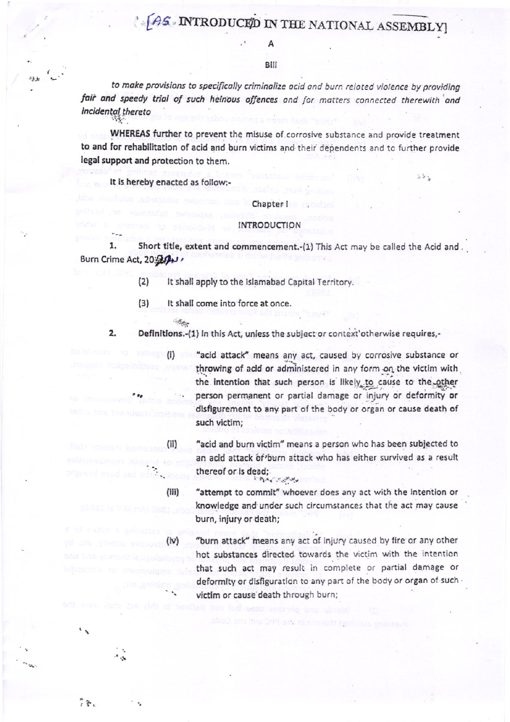## AS INTRODUCED IN THE NATIONAL ASSEMBLY

Bill

to make provisions to specifically criminalize ocid and burn related violence by providing fair and speedy trial of such heinous offences and for matters connected therewith and incidental thereto

WHEREAS further to prevent the misuse of corrosive substance and provide treatment to and for rehabilitation of acid and burn victims and their dependents and to further provide legal support and protection to them.

It is hereby enacted as follow:-

Chapter I

## **INTRODUCTION**

1. Short title, extent and commencement.-(1) This Act may be called the Acid and. Burn Crime Act, 20:50 V

> $(2)$ It shall apply to the Islamabad Capital Territory.

 $(3)$ It shall come into force at once.

**Collage** 

Definitions.-(1) In this Act, unless the subject or context'otherwise requires,-2.

> "acid attack" means any act, caused by corrosive substance or throwing of acid or administered in any form on the victim with the intention that such person is likely to cause to the other person permanent or partial damage or injury or deformity or disfigurement to any part of the body or organ or cause death of such victim;

 $\frac{1}{2}$  ,  $\frac{1}{2}$ 

"acid and burn victim" means a person who has been subjected to an acid attack of burn attack who has either survived as a result thereof or is dead: Bis Little

"attempt to commit" whoever does any act with the intention or knowledge and under such circumstances that the act may cause burn, injury or death;

"burn attack" means any act of injury caused by fire or any other hot substances directed towards the victim with the intention that such act may result in complete or partial damage or deformity or disfiguration to any part of the body or organ of such victim or cause death through burn;

 $(ii)$ 

 $(iii)$ 

 $(iv)$ 

 $\widetilde{\mathcal{E}}$ 

 $\mathbf{r}$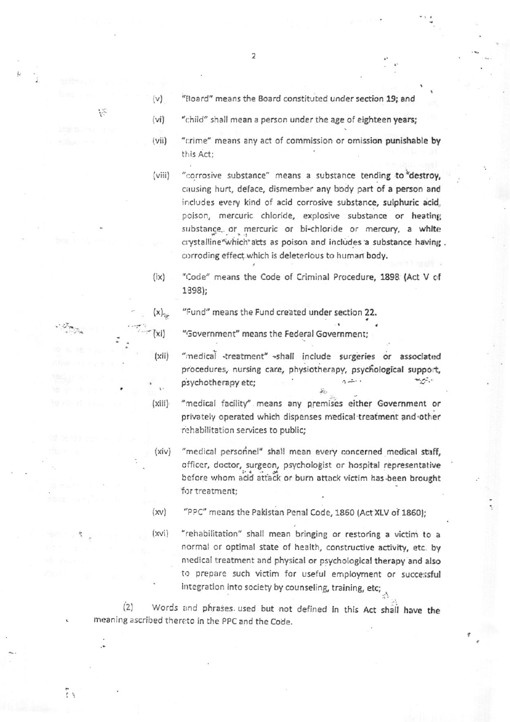- $(v)$ "Board" means the Board constituted under section 19; and
- $(vi)$ "child" shall mean a person under the age of eighteen years;
- $(vii)$ "crime" means any act of commission or omission punishable by this Act:
- "corrosive substance" means a substance tending to destroy,  $(viii)$ causing hurt, deface, dismember any body part of a person and includes every kind of acid corrosive substance, sulphuric acid, poison, mercuric chloride, explosive substance or heating substance, or mercuric or bi-chloride or mercury, a white crystalline which acts as poison and includes a substance having. corroding effect which is deleterious to human body.
- $(ix)$ "Code" means the Code of Criminal Procedure, 1898 (Act V of 1898);

"Fund" means the Fund created under section 22.

"Government" means the Federal Government;

- "medical -treatment" -shall include surgeries or associated procedures, nursing care, physiotherapy, psychological support,  $A = 1$ psychotherapy etc; with  $\mathcal{C}$
- $(xiii)$ "medical facility" means any premises either Government or privately operated which dispenses medical treatment and other rehabilitation services to public;
- "medical personnel" shall mean every concerned medical staff,  $(xiv)$ officer, doctor, surgeon, psychologist or hospital representative before whom acid attack or burn attack victim has been brought for treatment;

"PPC" means the Pakistan Penal Code, 1860 (Act XLV of 1860);  $(xv)$ 

 $(xvi)$ "rehabilitation" shall mean bringing or restoring a victim to a normal or optimal state of health, constructive activity, etc. by medical treatment and physical or psychological therapy and also to prepare such victim for useful employment or successful integration into society by counseling, training, etc;

 $(2)$ Words and phrases used but not defined in this Act shall have the meaning ascribed thereto in the PPC and the Code.

Ϋš

VS.

 $(x)$ <sub>25</sub>

(Xi

 $(xii)$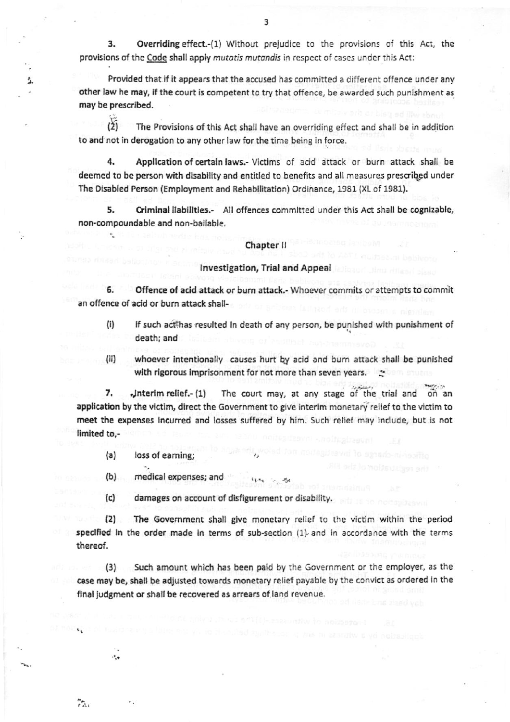3. Overriding effect.-(1) Without prejudice to the provisions of this Act, the provisions of the Code shall apply mutatis mutandis in respect of cases under this Act:

Provided that if it appears that the accused has committed a different offence under any other law he may, if the court is competent to try that offence, be awarded such punishment as may be prescribed.

 $(2)$ The Provisions of this Act shall have an overriding effect and shall be in addition to and not in derogation to any other law for the time being in force.

4. Application of certain laws.- Victims of acid attack or burn attack shall be deemed to be person with disability and entitled to benefits and all measures prescribed under The Disabled Person (Employment and Rehabilitation) Ordinance, 1981 (XL of 1981).

5. Criminal liabilities.- All offences committed under this Act shall be cognizable, non-compoundable and non-bailable.

## Chapter II

## Investigation, Trial and Appeal

Offence of acid attack or burn attack.- Whoever commits or attempts to commit an offence of acid or burn attack shall-

- $(i)$ if such act has resulted in death of any person, be punished with punishment of death; and
- $(ii)$ whoever intentionally causes hurt by acid and burn attack shall be punished with rigorous imprisonment for not more than seven years.  $\approx$

The court may, at any stage of the trial and on an 7. Jnterim relief.- (1) application by the victim, direct the Government to give interim monetary relief to the victim to meet the expenses incurred and losses suffered by him. Such relief may include, but is not limited to.-

 $(a)$ loss of earning:

 $\ddot{\cdot}$ 

75.

å.

 $(b)$ medical expenses; and

 $(c)$ damages on account of disfigurement or disability.

The Government shall give monetary relief to the victim within the period  $(2)$ specified in the order made in terms of sub-section (1) and in accordance with the terms thereof.

Such amount which has been paid by the Government or the employer, as the  $(3)$ case may be, shall be adjusted towards monetary relief payable by the convict as ordered in the final judgment or shall be recovered as arrears of land revenue.

3